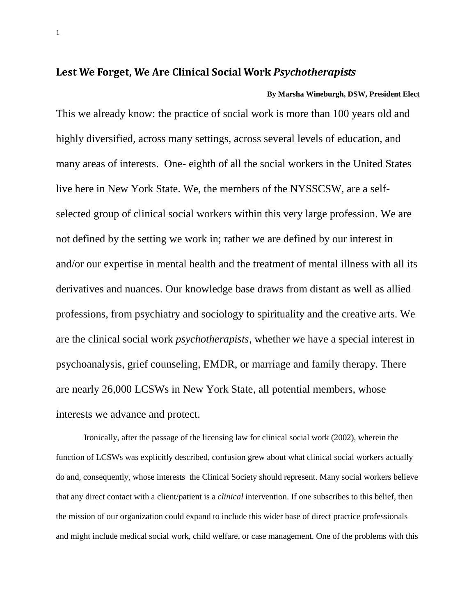## **Lest We Forget, We Are Clinical Social Work** *Psychotherapists*

**By Marsha Wineburgh, DSW, President Elect** This we already know: the practice of social work is more than 100 years old and highly diversified, across many settings, across several levels of education, and many areas of interests. One- eighth of all the social workers in the United States live here in New York State. We, the members of the NYSSCSW, are a selfselected group of clinical social workers within this very large profession. We are not defined by the setting we work in; rather we are defined by our interest in and/or our expertise in mental health and the treatment of mental illness with all its derivatives and nuances. Our knowledge base draws from distant as well as allied professions, from psychiatry and sociology to spirituality and the creative arts. We are the clinical social work *psychotherapists*, whether we have a special interest in psychoanalysis, grief counseling, EMDR, or marriage and family therapy. There are nearly 26,000 LCSWs in New York State, all potential members, whose interests we advance and protect.

Ironically, after the passage of the licensing law for clinical social work (2002), wherein the function of LCSWs was explicitly described, confusion grew about what clinical social workers actually do and, consequently, whose interests the Clinical Society should represent. Many social workers believe that any direct contact with a client/patient is a *clinical* intervention. If one subscribes to this belief, then the mission of our organization could expand to include this wider base of direct practice professionals and might include medical social work, child welfare, or case management. One of the problems with this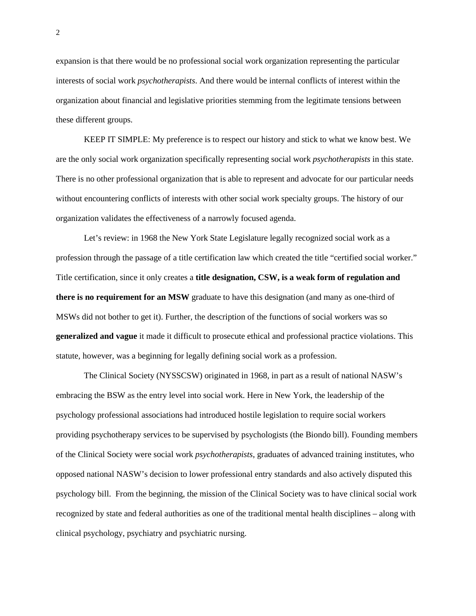expansion is that there would be no professional social work organization representing the particular interests of social work *psychotherapists*. And there would be internal conflicts of interest within the organization about financial and legislative priorities stemming from the legitimate tensions between these different groups.

KEEP IT SIMPLE: My preference is to respect our history and stick to what we know best. We are the only social work organization specifically representing social work *psychotherapists* in this state. There is no other professional organization that is able to represent and advocate for our particular needs without encountering conflicts of interests with other social work specialty groups. The history of our organization validates the effectiveness of a narrowly focused agenda.

Let's review: in 1968 the New York State Legislature legally recognized social work as a profession through the passage of a title certification law which created the title "certified social worker." Title certification, since it only creates a **title designation, CSW, is a weak form of regulation and there is no requirement for an MSW** graduate to have this designation (and many as one-third of MSWs did not bother to get it). Further, the description of the functions of social workers was so **generalized and vague** it made it difficult to prosecute ethical and professional practice violations. This statute, however, was a beginning for legally defining social work as a profession.

The Clinical Society (NYSSCSW) originated in 1968, in part as a result of national NASW's embracing the BSW as the entry level into social work. Here in New York, the leadership of the psychology professional associations had introduced hostile legislation to require social workers providing psychotherapy services to be supervised by psychologists (the Biondo bill). Founding members of the Clinical Society were social work *psychotherapists*, graduates of advanced training institutes, who opposed national NASW's decision to lower professional entry standards and also actively disputed this psychology bill. From the beginning, the mission of the Clinical Society was to have clinical social work recognized by state and federal authorities as one of the traditional mental health disciplines – along with clinical psychology, psychiatry and psychiatric nursing.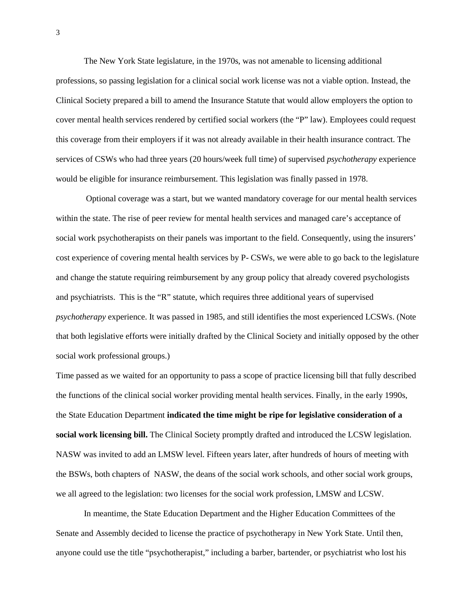The New York State legislature, in the 1970s, was not amenable to licensing additional professions, so passing legislation for a clinical social work license was not a viable option. Instead, the Clinical Society prepared a bill to amend the Insurance Statute that would allow employers the option to cover mental health services rendered by certified social workers (the "P" law). Employees could request this coverage from their employers if it was not already available in their health insurance contract. The services of CSWs who had three years (20 hours/week full time) of supervised *psychotherapy* experience would be eligible for insurance reimbursement. This legislation was finally passed in 1978.

Optional coverage was a start, but we wanted mandatory coverage for our mental health services within the state. The rise of peer review for mental health services and managed care's acceptance of social work psychotherapists on their panels was important to the field. Consequently, using the insurers' cost experience of covering mental health services by P- CSWs, we were able to go back to the legislature and change the statute requiring reimbursement by any group policy that already covered psychologists and psychiatrists. This is the "R" statute, which requires three additional years of supervised *psychotherapy* experience. It was passed in 1985, and still identifies the most experienced LCSWs. (Note that both legislative efforts were initially drafted by the Clinical Society and initially opposed by the other social work professional groups.)

Time passed as we waited for an opportunity to pass a scope of practice licensing bill that fully described the functions of the clinical social worker providing mental health services. Finally, in the early 1990s, the State Education Department **indicated the time might be ripe for legislative consideration of a social work licensing bill.** The Clinical Society promptly drafted and introduced the LCSW legislation. NASW was invited to add an LMSW level. Fifteen years later, after hundreds of hours of meeting with the BSWs, both chapters of NASW, the deans of the social work schools, and other social work groups, we all agreed to the legislation: two licenses for the social work profession, LMSW and LCSW.

In meantime, the State Education Department and the Higher Education Committees of the Senate and Assembly decided to license the practice of psychotherapy in New York State. Until then, anyone could use the title "psychotherapist," including a barber, bartender, or psychiatrist who lost his